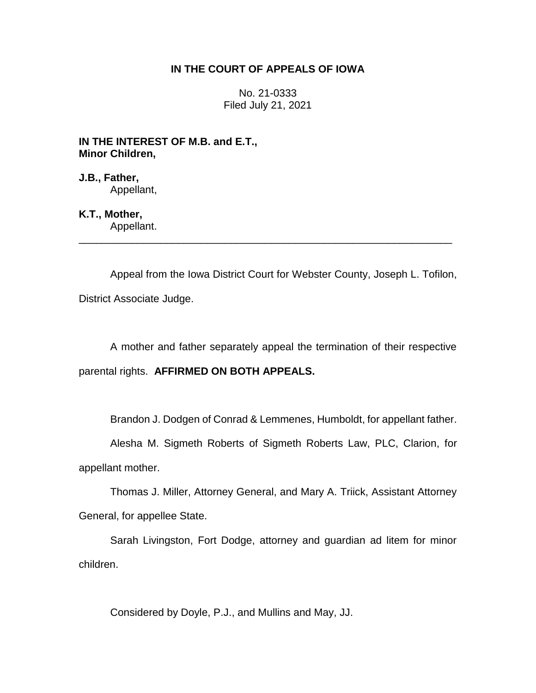## **IN THE COURT OF APPEALS OF IOWA**

No. 21-0333 Filed July 21, 2021

**IN THE INTEREST OF M.B. and E.T., Minor Children,**

**J.B., Father,** Appellant,

**K.T., Mother,**

Appellant. \_\_\_\_\_\_\_\_\_\_\_\_\_\_\_\_\_\_\_\_\_\_\_\_\_\_\_\_\_\_\_\_\_\_\_\_\_\_\_\_\_\_\_\_\_\_\_\_\_\_\_\_\_\_\_\_\_\_\_\_\_\_\_\_

Appeal from the Iowa District Court for Webster County, Joseph L. Tofilon, District Associate Judge.

A mother and father separately appeal the termination of their respective

parental rights. **AFFIRMED ON BOTH APPEALS.**

Brandon J. Dodgen of Conrad & Lemmenes, Humboldt, for appellant father.

Alesha M. Sigmeth Roberts of Sigmeth Roberts Law, PLC, Clarion, for appellant mother.

Thomas J. Miller, Attorney General, and Mary A. Triick, Assistant Attorney General, for appellee State.

Sarah Livingston, Fort Dodge, attorney and guardian ad litem for minor children.

Considered by Doyle, P.J., and Mullins and May, JJ.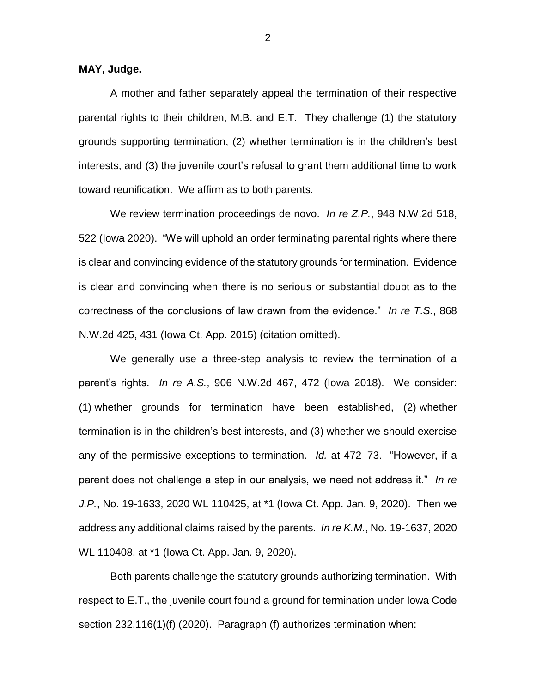**MAY, Judge.**

A mother and father separately appeal the termination of their respective parental rights to their children, M.B. and E.T. They challenge (1) the statutory grounds supporting termination, (2) whether termination is in the children's best interests, and (3) the juvenile court's refusal to grant them additional time to work toward reunification. We affirm as to both parents.

We review termination proceedings de novo. *In re Z.P.*, 948 N.W.2d 518, 522 (Iowa 2020). "We will uphold an order terminating parental rights where there is clear and convincing evidence of the statutory grounds for termination. Evidence is clear and convincing when there is no serious or substantial doubt as to the correctness of the conclusions of law drawn from the evidence." *In re T.S.*, 868 N.W.2d 425, 431 (Iowa Ct. App. 2015) (citation omitted).

We generally use a three-step analysis to review the termination of a parent's rights. *In re A.S.*, 906 N.W.2d 467, 472 (Iowa 2018). We consider: (1) whether grounds for termination have been established, (2) whether termination is in the children's best interests, and (3) whether we should exercise any of the permissive exceptions to termination. *Id.* at 472–73. "However, if a parent does not challenge a step in our analysis, we need not address it." *In re J.P.*, No. 19-1633, 2020 WL 110425, at \*1 (Iowa Ct. App. Jan. 9, 2020). Then we address any additional claims raised by the parents. *In re K.M.*, No. 19-1637, 2020 WL 110408, at \*1 (Iowa Ct. App. Jan. 9, 2020).

Both parents challenge the statutory grounds authorizing termination. With respect to E.T., the juvenile court found a ground for termination under Iowa Code section 232.116(1)(f) (2020). Paragraph (f) authorizes termination when: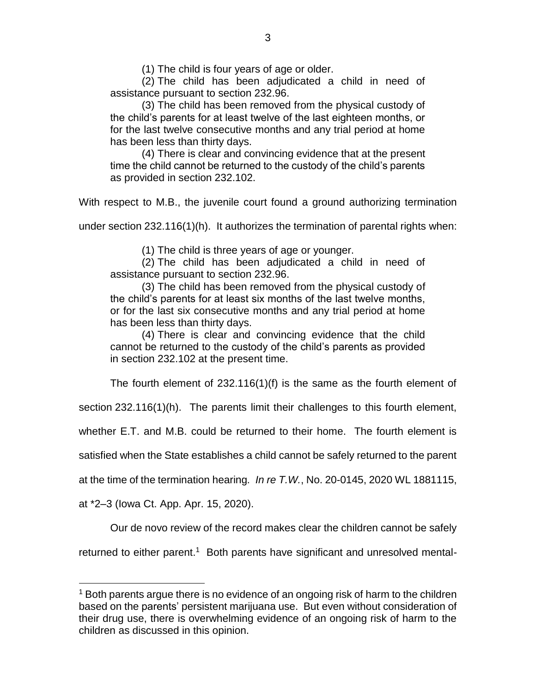(1) The child is four years of age or older.

(2) The child has been adjudicated a child in need of assistance pursuant to section 232.96.

(3) The child has been removed from the physical custody of the child's parents for at least twelve of the last eighteen months, or for the last twelve consecutive months and any trial period at home has been less than thirty days.

(4) There is clear and convincing evidence that at the present time the child cannot be returned to the custody of the child's parents as provided in section 232.102.

With respect to M.B., the juvenile court found a ground authorizing termination

under section 232.116(1)(h). It authorizes the termination of parental rights when:

(1) The child is three years of age or younger.

(2) The child has been adjudicated a child in need of assistance pursuant to section 232.96.

(3) The child has been removed from the physical custody of the child's parents for at least six months of the last twelve months, or for the last six consecutive months and any trial period at home has been less than thirty days.

(4) There is clear and convincing evidence that the child cannot be returned to the custody of the child's parents as provided in section 232.102 at the present time.

The fourth element of 232.116(1)(f) is the same as the fourth element of

section 232.116(1)(h). The parents limit their challenges to this fourth element,

whether E.T. and M.B. could be returned to their home. The fourth element is

satisfied when the State establishes a child cannot be safely returned to the parent

at the time of the termination hearing*. In re T.W.*, No. 20-0145, 2020 WL 1881115,

at \*2–3 (Iowa Ct. App. Apr. 15, 2020).

 $\overline{a}$ 

Our de novo review of the record makes clear the children cannot be safely

returned to either parent.<sup>1</sup> Both parents have significant and unresolved mental-

<sup>&</sup>lt;sup>1</sup> Both parents argue there is no evidence of an ongoing risk of harm to the children based on the parents' persistent marijuana use. But even without consideration of their drug use, there is overwhelming evidence of an ongoing risk of harm to the children as discussed in this opinion.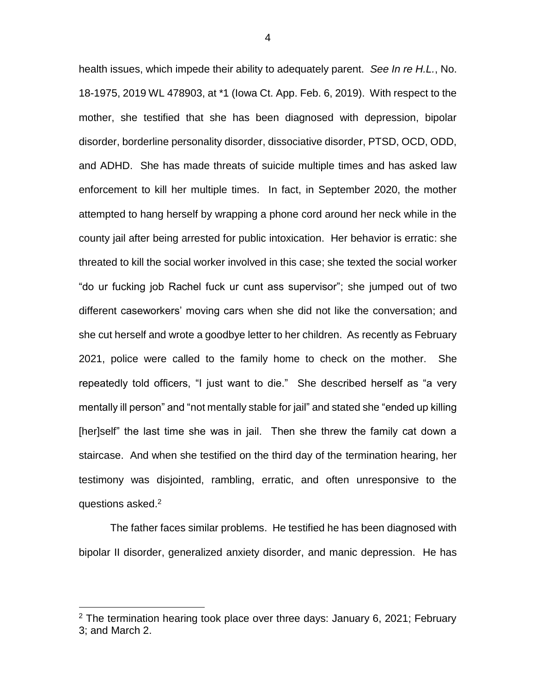health issues, which impede their ability to adequately parent. *See In re H.L.*, No. 18-1975, 2019 WL 478903, at \*1 (Iowa Ct. App. Feb. 6, 2019). With respect to the mother, she testified that she has been diagnosed with depression, bipolar disorder, borderline personality disorder, dissociative disorder, PTSD, OCD, ODD, and ADHD. She has made threats of suicide multiple times and has asked law enforcement to kill her multiple times. In fact, in September 2020, the mother attempted to hang herself by wrapping a phone cord around her neck while in the county jail after being arrested for public intoxication. Her behavior is erratic: she threated to kill the social worker involved in this case; she texted the social worker "do ur fucking job Rachel fuck ur cunt ass supervisor"; she jumped out of two different caseworkers' moving cars when she did not like the conversation; and she cut herself and wrote a goodbye letter to her children. As recently as February 2021, police were called to the family home to check on the mother. She repeatedly told officers, "I just want to die." She described herself as "a very mentally ill person" and "not mentally stable for jail" and stated she "ended up killing [her]self" the last time she was in jail. Then she threw the family cat down a staircase. And when she testified on the third day of the termination hearing, her testimony was disjointed, rambling, erratic, and often unresponsive to the questions asked.<sup>2</sup>

The father faces similar problems. He testified he has been diagnosed with bipolar II disorder, generalized anxiety disorder, and manic depression. He has

 $\overline{a}$ 

<sup>&</sup>lt;sup>2</sup> The termination hearing took place over three days: January 6, 2021; February 3; and March 2.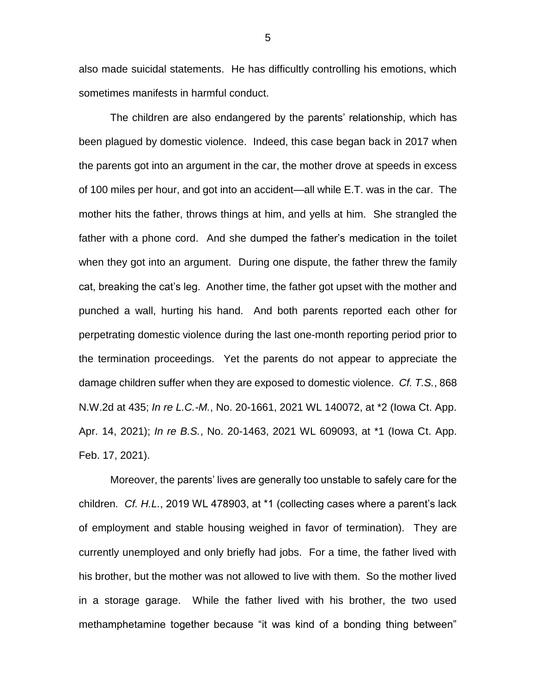also made suicidal statements. He has difficultly controlling his emotions, which sometimes manifests in harmful conduct.

The children are also endangered by the parents' relationship, which has been plagued by domestic violence. Indeed, this case began back in 2017 when the parents got into an argument in the car, the mother drove at speeds in excess of 100 miles per hour, and got into an accident—all while E.T. was in the car. The mother hits the father, throws things at him, and yells at him. She strangled the father with a phone cord. And she dumped the father's medication in the toilet when they got into an argument. During one dispute, the father threw the family cat, breaking the cat's leg. Another time, the father got upset with the mother and punched a wall, hurting his hand. And both parents reported each other for perpetrating domestic violence during the last one-month reporting period prior to the termination proceedings. Yet the parents do not appear to appreciate the damage children suffer when they are exposed to domestic violence. *Cf. T.S.*, 868 N.W.2d at 435; *In re L.C.-M.*, No. 20-1661, 2021 WL 140072, at \*2 (Iowa Ct. App. Apr. 14, 2021); *In re B.S.*, No. 20-1463, 2021 WL 609093, at \*1 (Iowa Ct. App. Feb. 17, 2021).

Moreover, the parents' lives are generally too unstable to safely care for the children*. Cf. H.L.*, 2019 WL 478903, at \*1 (collecting cases where a parent's lack of employment and stable housing weighed in favor of termination). They are currently unemployed and only briefly had jobs. For a time, the father lived with his brother, but the mother was not allowed to live with them. So the mother lived in a storage garage. While the father lived with his brother, the two used methamphetamine together because "it was kind of a bonding thing between"

5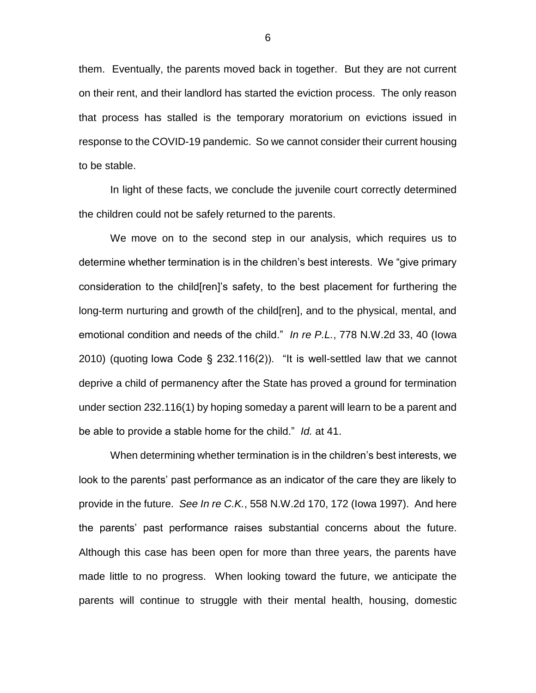them. Eventually, the parents moved back in together. But they are not current on their rent, and their landlord has started the eviction process. The only reason that process has stalled is the temporary moratorium on evictions issued in response to the COVID-19 pandemic. So we cannot consider their current housing to be stable.

In light of these facts, we conclude the juvenile court correctly determined the children could not be safely returned to the parents.

We move on to the second step in our analysis, which requires us to determine whether termination is in the children's best interests. We "give primary consideration to the child[ren]'s safety, to the best placement for furthering the long-term nurturing and growth of the child[ren], and to the physical, mental, and emotional condition and needs of the child." *In re P.L.*, 778 N.W.2d 33, 40 (Iowa 2010) (quoting Iowa Code § 232.116(2)). "It is well-settled law that we cannot deprive a child of permanency after the State has proved a ground for termination under section 232.116(1) by hoping someday a parent will learn to be a parent and be able to provide a stable home for the child." *Id.* at 41.

When determining whether termination is in the children's best interests, we look to the parents' past performance as an indicator of the care they are likely to provide in the future. *See In re C.K.*, 558 N.W.2d 170, 172 (Iowa 1997). And here the parents' past performance raises substantial concerns about the future. Although this case has been open for more than three years, the parents have made little to no progress. When looking toward the future, we anticipate the parents will continue to struggle with their mental health, housing, domestic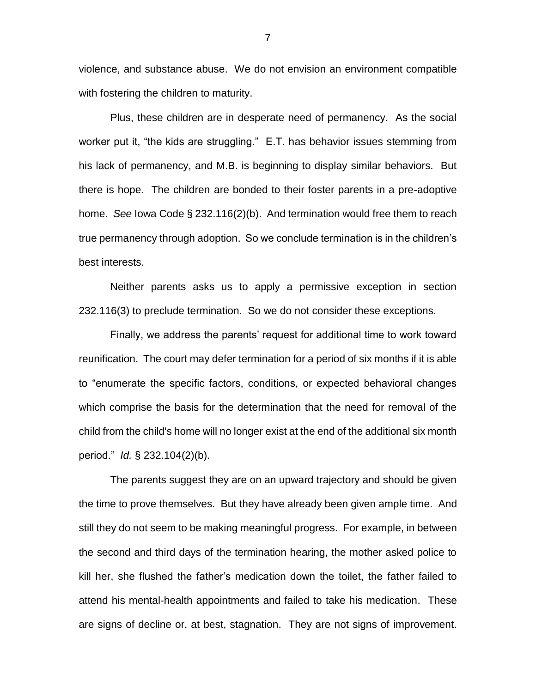violence, and substance abuse. We do not envision an environment compatible with fostering the children to maturity.

Plus, these children are in desperate need of permanency. As the social worker put it, "the kids are struggling." E.T. has behavior issues stemming from his lack of permanency, and M.B. is beginning to display similar behaviors. But there is hope. The children are bonded to their foster parents in a pre-adoptive home. *See* Iowa Code § 232.116(2)(b). And termination would free them to reach true permanency through adoption. So we conclude termination is in the children's best interests.

Neither parents asks us to apply a permissive exception in section 232.116(3) to preclude termination. So we do not consider these exceptions.

Finally, we address the parents' request for additional time to work toward reunification. The court may defer termination for a period of six months if it is able to "enumerate the specific factors, conditions, or expected behavioral changes which comprise the basis for the determination that the need for removal of the child from the child's home will no longer exist at the end of the additional six month period." *Id.* § 232.104(2)(b).

The parents suggest they are on an upward trajectory and should be given the time to prove themselves. But they have already been given ample time. And still they do not seem to be making meaningful progress. For example, in between the second and third days of the termination hearing, the mother asked police to kill her, she flushed the father's medication down the toilet, the father failed to attend his mental-health appointments and failed to take his medication. These are signs of decline or, at best, stagnation. They are not signs of improvement.

7